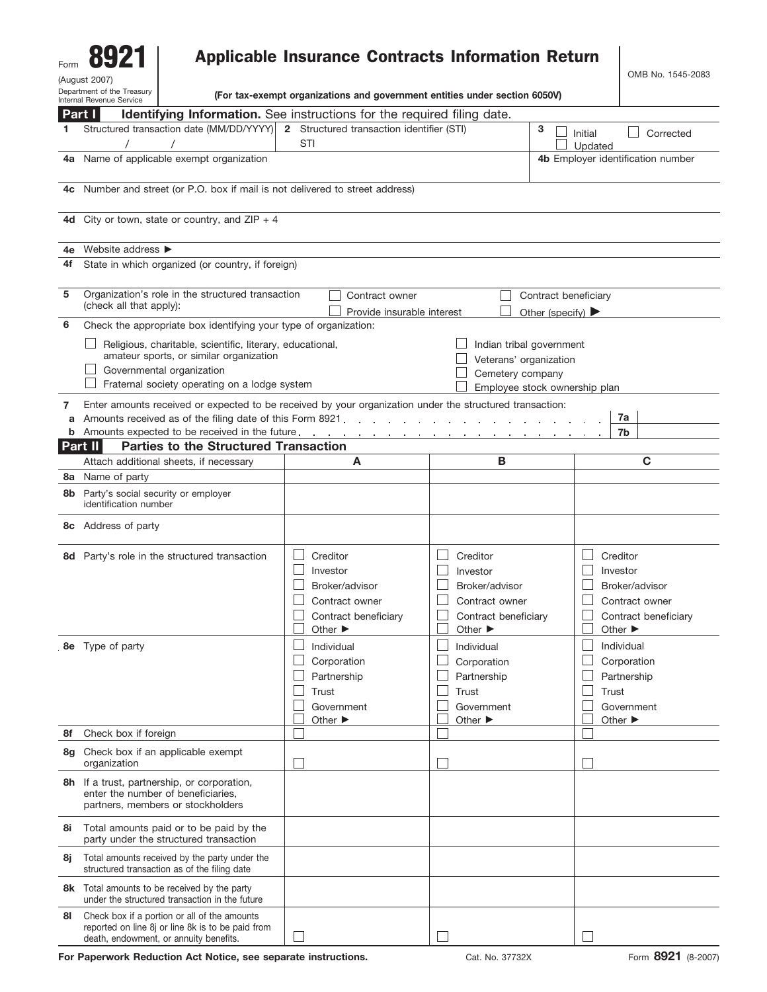| Form                                                   |  |  |  |  |  |  |
|--------------------------------------------------------|--|--|--|--|--|--|
| (August 2007)                                          |  |  |  |  |  |  |
| Department of the Treasury<br>Internal Revenue Service |  |  |  |  |  |  |

## Applicable Insurance Contracts Information Return

OMB No. 1545-2083

**(For tax-exempt organizations and government entities under section 6050V)**

|      | Part I<br>Identifying Information. See instructions for the required filing date.                                                                                                                                                                                                             |                                                                                                                 |                                                                                                                      |                                                                                                                 |  |  |  |  |
|------|-----------------------------------------------------------------------------------------------------------------------------------------------------------------------------------------------------------------------------------------------------------------------------------------------|-----------------------------------------------------------------------------------------------------------------|----------------------------------------------------------------------------------------------------------------------|-----------------------------------------------------------------------------------------------------------------|--|--|--|--|
| 1    | Structured transaction date (MM/DD/YYYY)<br>2 Structured transaction identifier (STI)                                                                                                                                                                                                         |                                                                                                                 |                                                                                                                      | Corrected<br>Initial<br>$\vert \ \ \vert$                                                                       |  |  |  |  |
|      |                                                                                                                                                                                                                                                                                               | STI                                                                                                             |                                                                                                                      | Updated                                                                                                         |  |  |  |  |
|      | 4a Name of applicable exempt organization                                                                                                                                                                                                                                                     |                                                                                                                 | 4b Employer identification number                                                                                    |                                                                                                                 |  |  |  |  |
| 4c   | Number and street (or P.O. box if mail is not delivered to street address)                                                                                                                                                                                                                    |                                                                                                                 |                                                                                                                      |                                                                                                                 |  |  |  |  |
| 4d l | City or town, state or country, and $ZIP + 4$                                                                                                                                                                                                                                                 |                                                                                                                 |                                                                                                                      |                                                                                                                 |  |  |  |  |
| 4е   | Website address >                                                                                                                                                                                                                                                                             |                                                                                                                 |                                                                                                                      |                                                                                                                 |  |  |  |  |
| 4f   | State in which organized (or country, if foreign)                                                                                                                                                                                                                                             |                                                                                                                 |                                                                                                                      |                                                                                                                 |  |  |  |  |
| 5    | Organization's role in the structured transaction<br>Contract owner<br>Contract beneficiary<br>(check all that apply):<br>Provide insurable interest<br>Other (specify) $\blacktriangleright$                                                                                                 |                                                                                                                 |                                                                                                                      |                                                                                                                 |  |  |  |  |
| 6    | Check the appropriate box identifying your type of organization:                                                                                                                                                                                                                              |                                                                                                                 |                                                                                                                      |                                                                                                                 |  |  |  |  |
|      | Religious, charitable, scientific, literary, educational,<br>Indian tribal government<br>amateur sports, or similar organization<br>Veterans' organization<br>Governmental organization<br>Cemetery company<br>Fraternal society operating on a lodge system<br>Employee stock ownership plan |                                                                                                                 |                                                                                                                      |                                                                                                                 |  |  |  |  |
| 7    | Enter amounts received or expected to be received by your organization under the structured transaction:                                                                                                                                                                                      |                                                                                                                 |                                                                                                                      |                                                                                                                 |  |  |  |  |
| a    | Amounts received as of the filing date of this Form 8921.                                                                                                                                                                                                                                     | and the state of the                                                                                            |                                                                                                                      | 7a                                                                                                              |  |  |  |  |
| b    | Amounts expected to be received in the future.                                                                                                                                                                                                                                                | the contract of the con-                                                                                        |                                                                                                                      | 7b                                                                                                              |  |  |  |  |
|      | <b>Parties to the Structured Transaction</b><br>Part II                                                                                                                                                                                                                                       |                                                                                                                 |                                                                                                                      |                                                                                                                 |  |  |  |  |
|      | Attach additional sheets, if necessary                                                                                                                                                                                                                                                        | A                                                                                                               | В                                                                                                                    | C                                                                                                               |  |  |  |  |
| 8a   | Name of party                                                                                                                                                                                                                                                                                 |                                                                                                                 |                                                                                                                      |                                                                                                                 |  |  |  |  |
| 8b   | Party's social security or employer<br>identification number                                                                                                                                                                                                                                  |                                                                                                                 |                                                                                                                      |                                                                                                                 |  |  |  |  |
|      | <b>8c</b> Address of party                                                                                                                                                                                                                                                                    |                                                                                                                 |                                                                                                                      |                                                                                                                 |  |  |  |  |
|      | 8d Party's role in the structured transaction                                                                                                                                                                                                                                                 | Creditor<br>Investor<br>Broker/advisor<br>Contract owner<br>Contract beneficiary<br>Other $\blacktriangleright$ | Creditor<br>L<br>Investor<br>Broker/advisor<br>Contract owner<br>Contract beneficiary<br>Other $\blacktriangleright$ | Creditor<br>Investor<br>Broker/advisor<br>Contract owner<br>Contract beneficiary<br>Other $\blacktriangleright$ |  |  |  |  |
|      | <b>8e</b> Type of party                                                                                                                                                                                                                                                                       | Individual<br>Corporation<br>Partnership<br>Trust<br>Government<br>Other $\blacktriangleright$                  | Individual<br>Corporation<br>Partnership<br>Trust<br>Government<br>Other $\blacktriangleright$                       | Individual<br>Corporation<br>Partnership<br>Trust<br>Government<br>Other $\blacktriangleright$                  |  |  |  |  |
| 8f   | Check box if foreign                                                                                                                                                                                                                                                                          |                                                                                                                 |                                                                                                                      |                                                                                                                 |  |  |  |  |
| 8g   | Check box if an applicable exempt<br>organization                                                                                                                                                                                                                                             |                                                                                                                 | $\Box$                                                                                                               |                                                                                                                 |  |  |  |  |
|      | 8h If a trust, partnership, or corporation,<br>enter the number of beneficiaries,<br>partners, members or stockholders                                                                                                                                                                        |                                                                                                                 |                                                                                                                      |                                                                                                                 |  |  |  |  |
| 8i   | Total amounts paid or to be paid by the<br>party under the structured transaction                                                                                                                                                                                                             |                                                                                                                 |                                                                                                                      |                                                                                                                 |  |  |  |  |
| 8i   | Total amounts received by the party under the<br>structured transaction as of the filing date                                                                                                                                                                                                 |                                                                                                                 |                                                                                                                      |                                                                                                                 |  |  |  |  |
|      | 8k Total amounts to be received by the party<br>under the structured transaction in the future                                                                                                                                                                                                |                                                                                                                 |                                                                                                                      |                                                                                                                 |  |  |  |  |
| 81   | Check box if a portion or all of the amounts<br>reported on line 8j or line 8k is to be paid from<br>death, endowment, or annuity benefits.                                                                                                                                                   |                                                                                                                 | $\overline{\phantom{a}}$                                                                                             |                                                                                                                 |  |  |  |  |

For Paperwork Reduction Act Notice, see separate instructions. Cat. No. 37732X Form 8921 (8-2007)